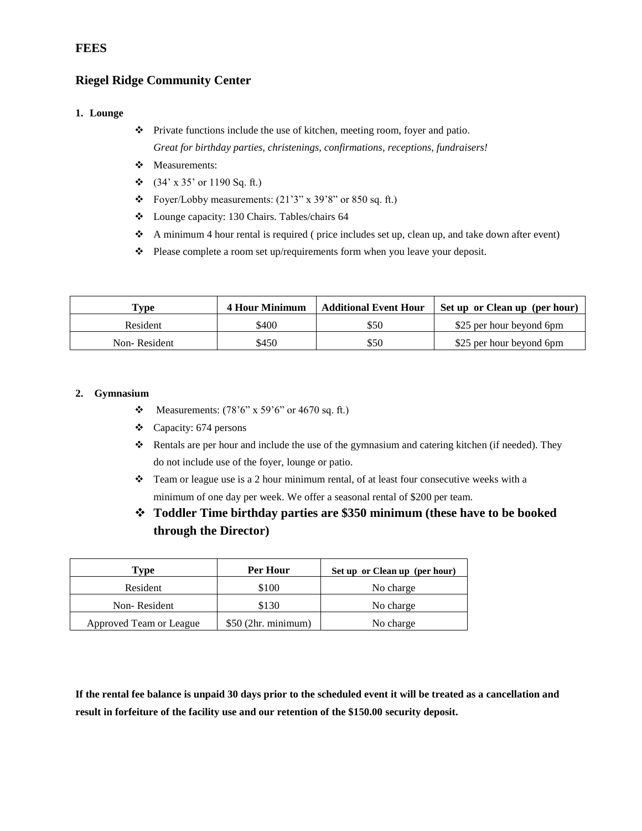# **Riegel Ridge Community Center**

### **1. Lounge**

- Private functions include the use of kitchen, meeting room, foyer and patio. *Great for birthday parties, christenings, confirmations, receptions, fundraisers!*
- Measurements:
- $\div$  (34' x 35' or 1190 Sq. ft.)
- $\div$  Foyer/Lobby measurements: (21'3" x 39'8" or 850 sq. ft.)
- Lounge capacity: 130 Chairs. Tables/chairs 64
- A minimum 4 hour rental is required ( price includes set up, clean up, and take down after event)
- Please complete a room set up/requirements form when you leave your deposit.

| $\mathbf{T}_{\mathbf{VDE}}$ | 4 Hour Minimum | <b>Additional Event Hour</b> | Set up or Clean up (per hour) |
|-----------------------------|----------------|------------------------------|-------------------------------|
| Resident                    | \$400          | \$50                         | \$25 per hour beyond 6pm      |
| Non-Resident                | \$450          | \$50                         | \$25 per hour beyond 6pm      |

#### **2. Gymnasium**

- Measurements:  $(78'6'' \times 59'6'' \text{ or } 4670 \text{ sq. ft.})$
- Capacity: 674 persons
- \* Rentals are per hour and include the use of the gymnasium and catering kitchen (if needed). They do not include use of the foyer, lounge or patio.
- $\bullet$  Team or league use is a 2 hour minimum rental, of at least four consecutive weeks with a minimum of one day per week. We offer a seasonal rental of \$200 per team.
- **Toddler Time birthday parties are \$350 minimum (these have to be booked through the Director)**

| Type                    | Per Hour             | Set up or Clean up (per hour) |
|-------------------------|----------------------|-------------------------------|
| Resident                | \$100                | No charge                     |
| Non-Resident            | \$130                | No charge                     |
| Approved Team or League | $$50$ (2hr. minimum) | No charge                     |

**If the rental fee balance is unpaid 30 days prior to the scheduled event it will be treated as a cancellation and result in forfeiture of the facility use and our retention of the \$150.00 security deposit.** 

# **FEES**